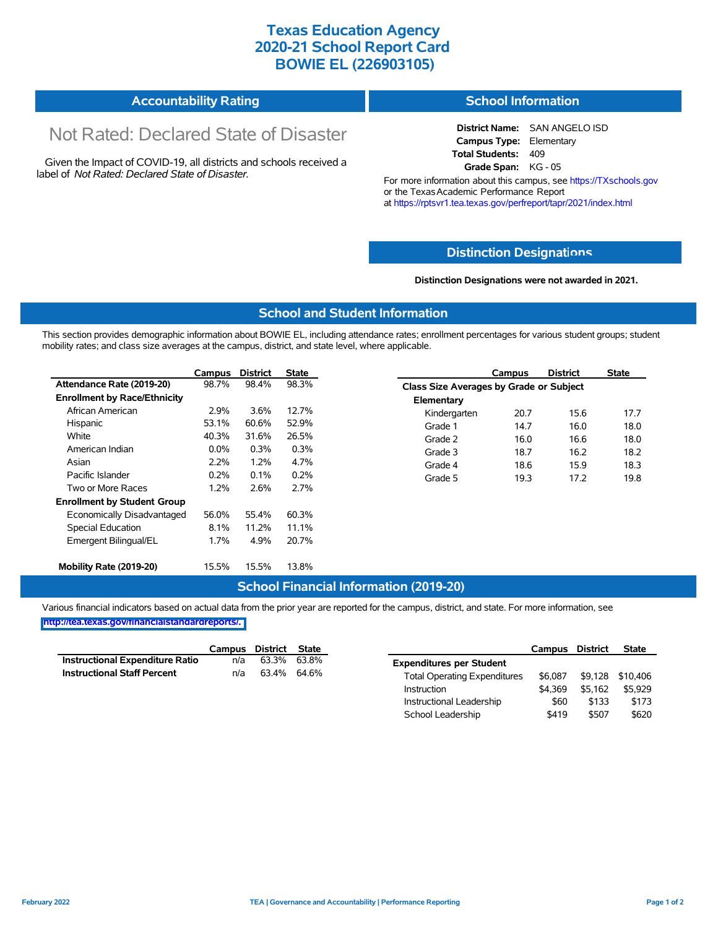# **Texas Education Agency 2020-21 School Report Card BOWIE EL (226903105)**

#### **Accountability Rating School Information**

# Not Rated: Declared State of Disaster

Given the Impact of COVID-19, all districts and schools received a label of *Not Rated: Declared State of Disaster.*

**District Name:** SAN ANGELO ISD **Campus Type:** Elementary **Total Students:** 409 **Grade Span:** KG - 05

For more information about this campus, see https://TXschools.gov or the Texas Academic Performance Report at https://rptsvr1.tea.texas.gov/perfreport/tapr/2021/index.html

### **Distinction Designat[ions](https://TXschools.gov)**

**Distinction Designations were not awarded in 2021.**

Instructional Leadership  $$60$  \$133 \$173 School Leadership  $$419$  \$507 \$620

#### **School and Student Information**

This section provides demographic information about BOWIE EL, including attendance rates; enrollment percentages for various student groups; student mobility rates; and class size averages at the campus, district, and state level, where applicable.

|                                     | Campus  | <b>District</b> | <b>State</b> |              | Campus                                  | <b>District</b> | <b>State</b> |  |  |
|-------------------------------------|---------|-----------------|--------------|--------------|-----------------------------------------|-----------------|--------------|--|--|
| Attendance Rate (2019-20)           | 98.7%   | 98.4%           | 98.3%        |              | Class Size Averages by Grade or Subject |                 |              |  |  |
| <b>Enrollment by Race/Ethnicity</b> |         |                 |              | Elementary   |                                         |                 |              |  |  |
| African American                    | 2.9%    | 3.6%            | 12.7%        | Kindergarten | 20.7                                    | 15.6            | 17.7         |  |  |
| Hispanic                            | 53.1%   | 60.6%           | 52.9%        | Grade 1      | 14.7                                    | 16.0            | 18.0         |  |  |
| White                               | 40.3%   | 31.6%           | 26.5%        | Grade 2      | 16.0                                    | 16.6            | 18.0         |  |  |
| American Indian                     | $0.0\%$ | 0.3%            | 0.3%         | Grade 3      | 18.7                                    | 16.2            | 18.2         |  |  |
| Asian                               | 2.2%    | 1.2%            | 4.7%         | Grade 4      | 18.6                                    | 15.9            | 18.3         |  |  |
| Pacific Islander                    | 0.2%    | 0.1%            | 0.2%         | Grade 5      | 19.3                                    | 17.2            | 19.8         |  |  |
| Two or More Races                   | 1.2%    | 2.6%            | 2.7%         |              |                                         |                 |              |  |  |
| <b>Enrollment by Student Group</b>  |         |                 |              |              |                                         |                 |              |  |  |
| Economically Disadvantaged          | 56.0%   | 55.4%           | 60.3%        |              |                                         |                 |              |  |  |
| Special Education                   | 8.1%    | 11.2%           | 11.1%        |              |                                         |                 |              |  |  |
| Emergent Bilingual/EL               | 1.7%    | 4.9%            | 20.7%        |              |                                         |                 |              |  |  |
|                                     |         |                 |              |              |                                         |                 |              |  |  |
| Mobility Rate (2019-20)             | 15.5%   | 15.5%           | 13.8%        |              |                                         |                 |              |  |  |

### **School Financial Information (2019-20)**

Various financial indicators based on actual data from the prior year are reported for the campus, district, and state. For more information, see

**[http://tea.texas.gov/financialstandardreports/.](http://tea.texas.gov/financialstandardreports/)**

|                                    | Campus | District | State       |                                     | Campus  | <b>District</b> | <b>State</b>     |
|------------------------------------|--------|----------|-------------|-------------------------------------|---------|-----------------|------------------|
| Instructional Expenditure Ratio    | n/a    |          | 63.3% 63.8% | <b>Expenditures per Student</b>     |         |                 |                  |
| <b>Instructional Staff Percent</b> | n/a    |          | 63.4% 64.6% | <b>Total Operating Expenditures</b> | \$6.087 |                 | \$9,128 \$10,406 |
|                                    |        |          |             | Instruction                         | \$4.369 | \$5.162         | \$5.929          |